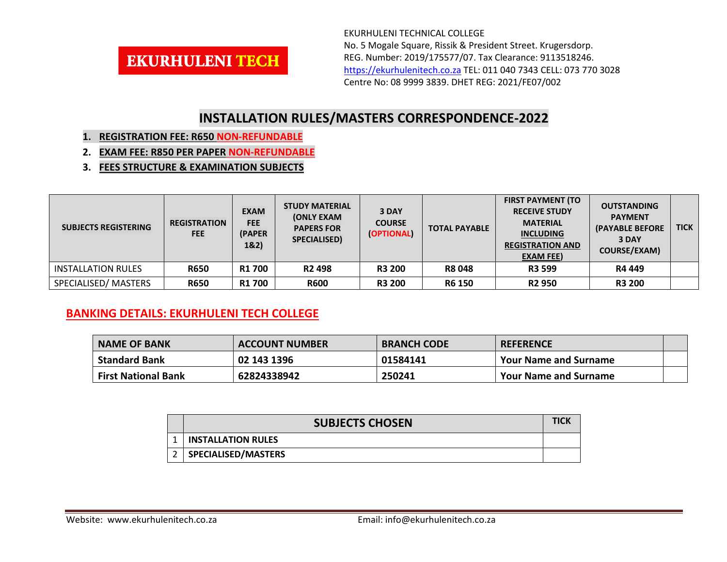

EKURHULENI TECHNICAL COLLEGE No. 5 Mogale Square, Rissik & President Street. Krugersdorp. REG. Number: 2019/175577/07. Tax Clearance: 9113518246. [https://ekurhulenitech.co.za](https://ekurhulenitech.co.za/) TEL: 011 040 7343 CELL: 073 770 3028 Centre No: 08 9999 3839. DHET REG: 2021/FE07/002

## **INSTALLATION RULES/MASTERS CORRESPONDENCE-2022**

- **1. REGISTRATION FEE: R650 NON-REFUNDABLE**
- **2. EXAM FEE: R850 PER PAPER NON-REFUNDABLE**
- **3. FEES STRUCTURE & EXAMINATION SUBJECTS**

| <b>SUBJECTS REGISTERING</b> | <b>REGISTRATION</b><br><b>FEE</b> | <b>EXAM</b><br><b>FEE</b><br>(PAPER)<br>1&2) | <b>STUDY MATERIAL</b><br><b>(ONLY EXAM</b><br><b>PAPERS FOR</b><br>SPECIALISED) | 3 DAY<br><b>COURSE</b><br>(OPTIONAL) | <b>TOTAL PAYABLE</b> | <b>FIRST PAYMENT (TO</b><br><b>RECEIVE STUDY</b><br><b>MATERIAL</b><br><b>INCLUDING</b><br><b>REGISTRATION AND</b><br><b>EXAM FEE)</b> | <b>OUTSTANDING</b><br><b>PAYMENT</b><br><b>(PAYABLE BEFORE</b><br>3 DAY<br>COURSE/EXAM) | <b>TICK</b> |
|-----------------------------|-----------------------------------|----------------------------------------------|---------------------------------------------------------------------------------|--------------------------------------|----------------------|----------------------------------------------------------------------------------------------------------------------------------------|-----------------------------------------------------------------------------------------|-------------|
| <b>INSTALLATION RULES</b>   | <b>R650</b>                       | <b>R1 700</b>                                | R <sub>2</sub> 498                                                              | <b>R3 200</b>                        | <b>R8 048</b>        | <b>R3 599</b>                                                                                                                          | R4 449                                                                                  |             |
| SPECIALISED/MASTERS         | <b>R650</b>                       | <b>R1700</b>                                 | <b>R600</b>                                                                     | <b>R3 200</b>                        | <b>R6 150</b>        | <b>R2 950</b>                                                                                                                          | <b>R3 200</b>                                                                           |             |

## **BANKING DETAILS: EKURHULENI TECH COLLEGE**

| <b>NAME OF BANK</b>        | <b>ACCOUNT NUMBER</b> | <b>BRANCH CODE</b> | <b>REFERENCE</b>             |  |
|----------------------------|-----------------------|--------------------|------------------------------|--|
| <b>Standard Bank</b>       | 02 143 1396           | 01584141           | <b>Your Name and Surname</b> |  |
| <b>First National Bank</b> | 62824338942           | 250241             | <b>Your Name and Surname</b> |  |

|  | <b>SUBJECTS CHOSEN</b>     |  |  |
|--|----------------------------|--|--|
|  | <b>INSTALLATION RULES</b>  |  |  |
|  | <b>SPECIALISED/MASTERS</b> |  |  |